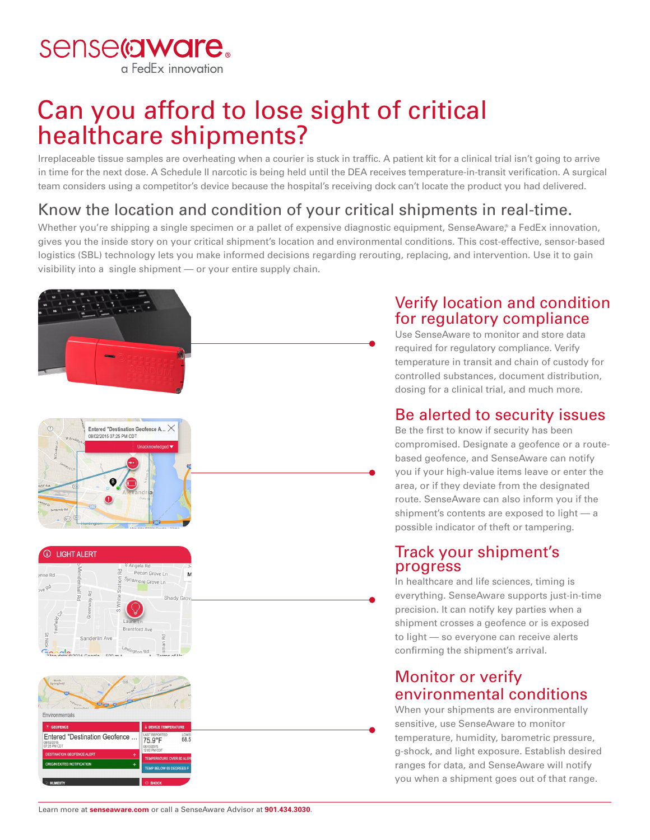a FedEx innovation

sense@ware.

# Can you afford to lose sight of critical healthcare shipments?

Irreplaceable tissue samples are overheating when a courier is stuck in traffic. A patient kit for a clinical trial isn't going to arrive in time for the next dose. A Schedule II narcotic is being held until the DEA receives temperature-in-transit verification. A surgical team considers using a competitor's device because the hospital's receiving dock can't locate the product you had delivered.

## Know the location and condition of your critical shipments in real-time.

Whether you're shipping a single specimen or a pallet of expensive diagnostic equipment, SenseAware,® a FedEx innovation, gives you the inside story on your critical shipment's location and environmental conditions. This cost-effective, sensor-based logistics (SBL) technology lets you make informed decisions regarding rerouting, replacing, and intervention. Use it to gain visibility into a single shipment — or your entire supply chain.



#### Verify location and condition for regulatory compliance

Use SenseAware to monitor and store data required for regulatory compliance. Verify temperature in transit and chain of custody for controlled substances, document distribution, dosing for a clinical trial, and much more.

### Be alerted to security issues

Be the first to know if security has been compromised. Designate a geofence or a routebased geofence, and SenseAware can notify you if your high-value items leave or enter the area, or if they deviate from the designated route. SenseAware can also inform you if the shipment's contents are exposed to light — a possible indicator of theft or tampering.

#### Track your shipment's progress

In healthcare and life sciences, timing is everything. SenseAware supports just-in-time precision. It can notify key parties when a shipment crosses a geofence or is exposed to light — so everyone can receive alerts confirming the shipment's arrival.

#### Monitor or verify environmental conditions

When your shipments are environmentally sensitive, use SenseAware to monitor temperature, humidity, barometric pressure, g-shock, and light exposure. Establish desired ranges for data, and SenseAware will notify you when a shipment goes out of that range.